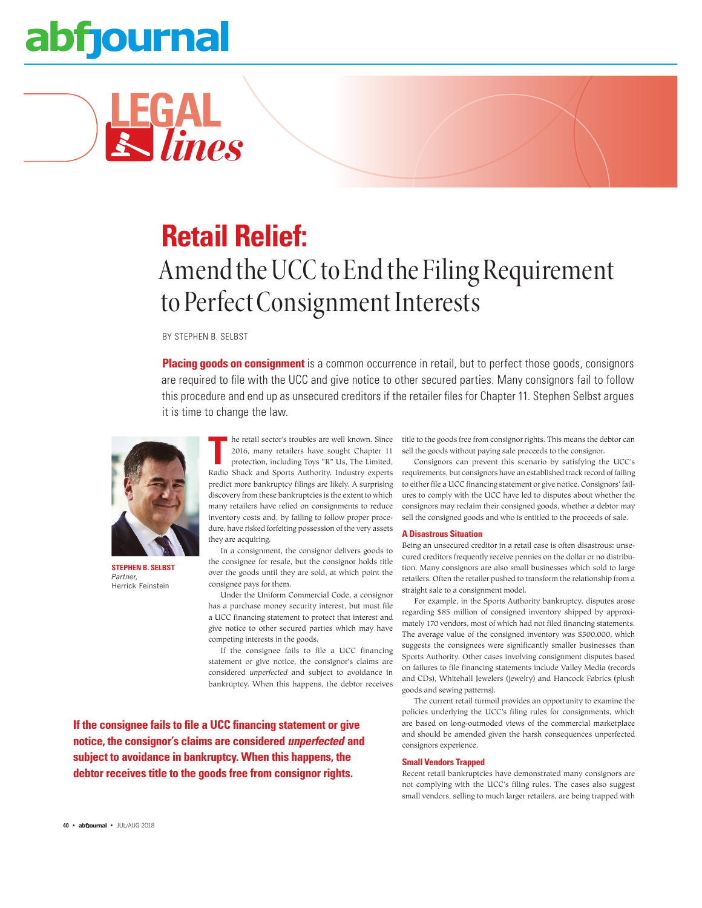# abfjournal

**LEGAL** *lines*

### **Retail Relief:** Amend the UCC to End the Filing Requirement to Perfect Consignment Interests

BY STEPHEN B. SELBST

**Placing goods on consignment** is a common occurrence in retail, but to perfect those goods, consignors are required to file with the UCC and give notice to other secured parties. Many consignors fail to follow this procedure and end up as unsecured creditors if the retailer files for Chapter 11. Stephen Selbst argues it is time to change the law.



**STEPHEN B. SELBST** *Partner,* Herrick Feinstein

he retail sector's troubles are well known. Since 2016, many retailers have sought Chapter 11 protection, including Toys "R" Us, The Limited, Radio Shack and Sports Authority. Industry experts predict more bankruptcy filings are likely. A surprising discovery from these bankruptcies is the extent to which many retailers have relied on consignments to reduce inventory costs and, by failing to follow proper procedure, have risked forfeiting possession of the very assets they are acquiring.

In a consignment, the consignor delivers goods to the consignee for resale, but the consignor holds title over the goods until they are sold, at which point the consignee pays for them.

Under the Uniform Commercial Code, a consignor has a purchase money security interest, but must file a UCC financing statement to protect that interest and give notice to other secured parties which may have competing interests in the goods.

If the consignee fails to file a UCC financing statement or give notice, the consignor's claims are considered *unperfected* and subject to avoidance in bankruptcy. When this happens, the debtor receives

**If the consignee fails to file a UCC financing statement or give notice, the consignor's claims are considered** *unperfected* **and subject to avoidance in bankruptcy. When this happens, the debtor receives title to the goods free from consignor rights.**

title to the goods free from consignor rights. This means the debtor can sell the goods without paying sale proceeds to the consignor.

Consignors can prevent this scenario by satisfying the UCC's requirements, but consignors have an established track record of failing to either file a UCC financing statement or give notice. Consignors' failures to comply with the UCC have led to disputes about whether the consignors may reclaim their consigned goods, whether a debtor may sell the consigned goods and who is entitled to the proceeds of sale.

### **A Disastrous Situation**

Being an unsecured creditor in a retail case is often disastrous: unsecured creditors frequently receive pennies on the dollar or no distribution. Many consignors are also small businesses which sold to large retailers. Often the retailer pushed to transform the relationship from a straight sale to a consignment model.

For example, in the Sports Authority bankruptcy, disputes arose regarding \$85 million of consigned inventory shipped by approximately 170 vendors, most of which had not filed financing statements. The average value of the consigned inventory was \$500,000, which suggests the consignees were significantly smaller businesses than Sports Authority. Other cases involving consignment disputes based on failures to file financing statements include Valley Media (records and CDs), Whitehall Jewelers (jewelry) and Hancock Fabrics (plush goods and sewing patterns).

The current retail turmoil provides an opportunity to examine the policies underlying the UCC's filing rules for consignments, which are based on long-outmoded views of the commercial marketplace and should be amended given the harsh consequences unperfected consignors experience.

### **Small Vendors Trapped**

Recent retail bankruptcies have demonstrated many consignors are not complying with the UCC's filing rules. The cases also suggest small vendors, selling to much larger retailers, are being trapped with